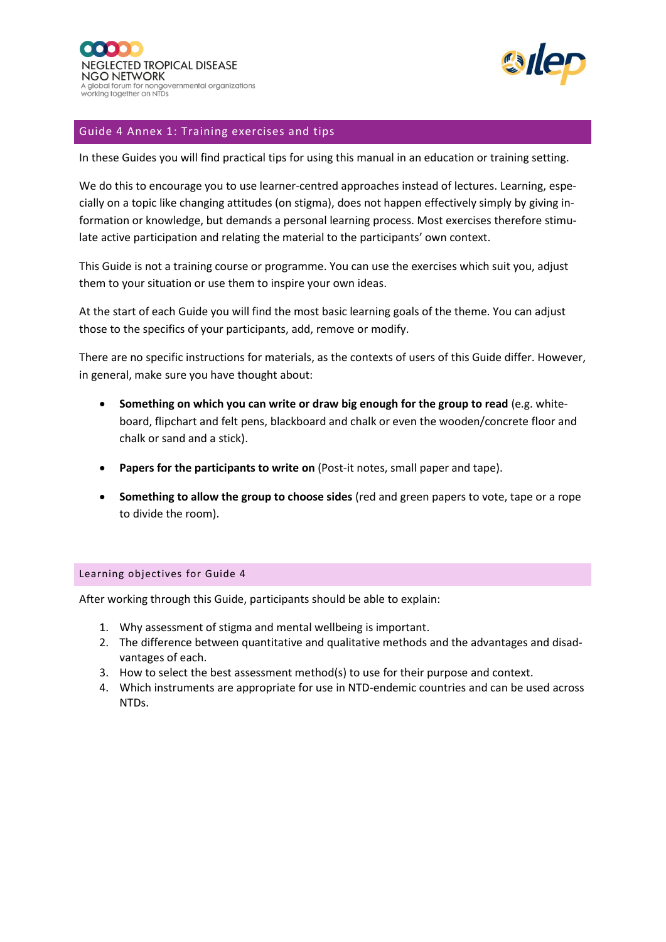

# Guide 4 Annex 1: Training exercises and tips

In these Guides you will find practical tips for using this manual in an education or training setting.

We do this to encourage you to use learner-centred approaches instead of lectures. Learning, especially on a topic like changing attitudes (on stigma), does not happen effectively simply by giving information or knowledge, but demands a personal learning process. Most exercises therefore stimulate active participation and relating the material to the participants' own context.

This Guide is not a training course or programme. You can use the exercises which suit you, adjust them to your situation or use them to inspire your own ideas.

At the start of each Guide you will find the most basic learning goals of the theme. You can adjust those to the specifics of your participants, add, remove or modify.

There are no specific instructions for materials, as the contexts of users of this Guide differ. However, in general, make sure you have thought about:

- **Something on which you can write or draw big enough for the group to read** (e.g. whiteboard, flipchart and felt pens, blackboard and chalk or even the wooden/concrete floor and chalk or sand and a stick).
- **Papers for the participants to write on** (Post-it notes, small paper and tape).
- **Something to allow the group to choose sides** (red and green papers to vote, tape or a rope to divide the room).

#### Learning objectives for Guide 4

After working through this Guide, participants should be able to explain:

- 1. Why assessment of stigma and mental wellbeing is important.
- 2. The difference between quantitative and qualitative methods and the advantages and disadvantages of each.
- 3. How to select the best assessment method(s) to use for their purpose and context.
- 4. Which instruments are appropriate for use in NTD-endemic countries and can be used across NTDs.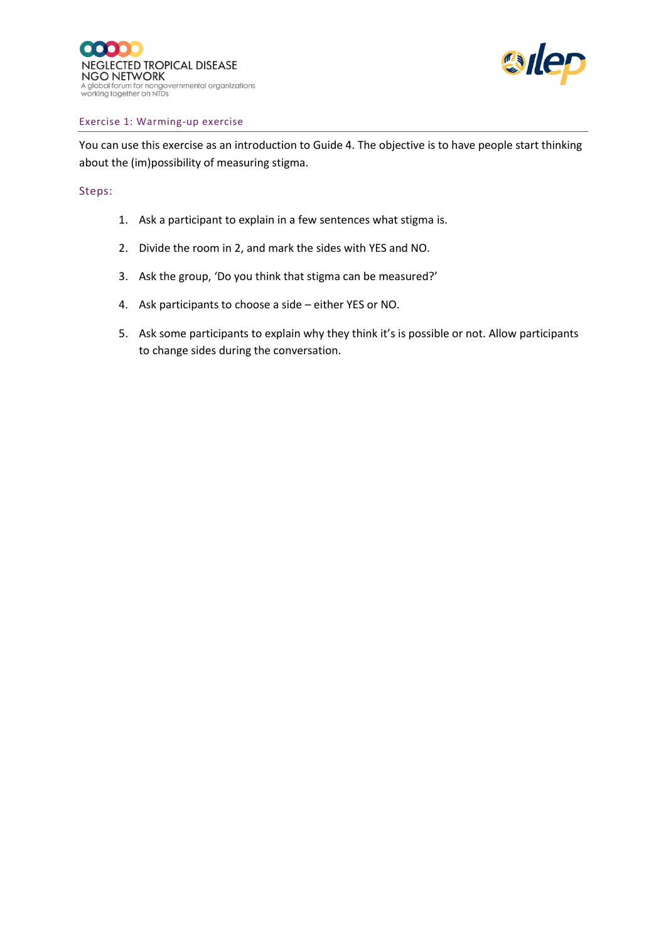

#### Exercise 1: Warming-up exercise

You can use this exercise as an introduction to Guide 4. The objective is to have people start thinking about the (im)possibility of measuring stigma.

### Steps:

- 1. Ask a participant to explain in a few sentences what stigma is.
- 2. Divide the room in 2, and mark the sides with YES and NO.
- 3. Ask the group, 'Do you think that stigma can be measured?'
- 4. Ask participants to choose a side either YES or NO.
- 5. Ask some participants to explain why they think it's is possible or not. Allow participants to change sides during the conversation.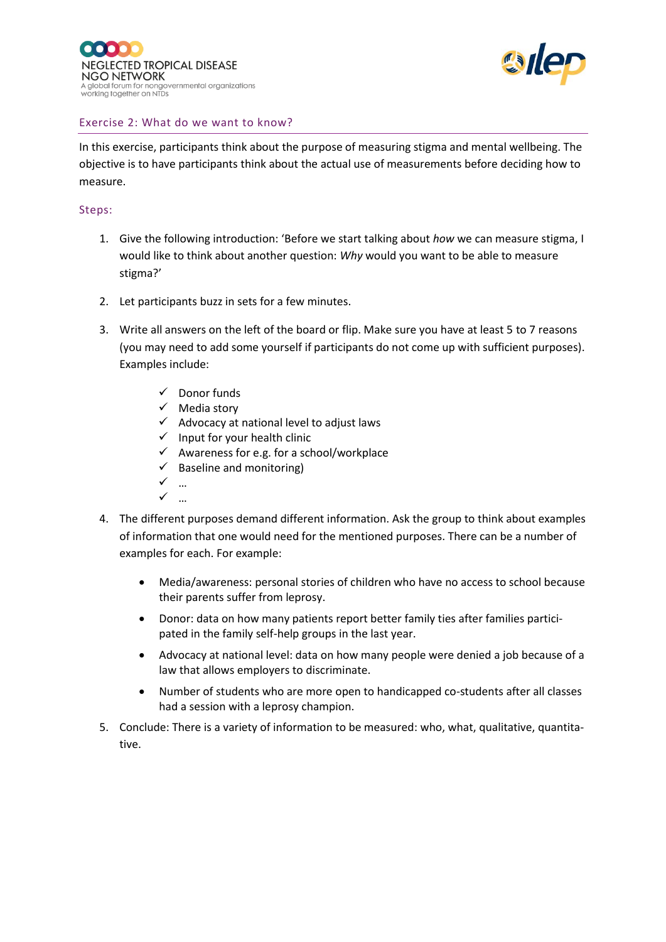



# Exercise 2: What do we want to know?

In this exercise, participants think about the purpose of measuring stigma and mental wellbeing. The objective is to have participants think about the actual use of measurements before deciding how to measure.

## Steps:

- 1. Give the following introduction: 'Before we start talking about *how* we can measure stigma, I would like to think about another question: *Why* would you want to be able to measure stigma?'
- 2. Let participants buzz in sets for a few minutes.
- 3. Write all answers on the left of the board or flip. Make sure you have at least 5 to 7 reasons (you may need to add some yourself if participants do not come up with sufficient purposes). Examples include:
	- ✓ Donor funds
	- ✓ Media story
	- $\checkmark$  Advocacy at national level to adjust laws
	- $\checkmark$  Input for your health clinic
	- $\checkmark$  Awareness for e.g. for a school/workplace
	- $\checkmark$  Baseline and monitoring)
	- ✓ …
	- $\checkmark$
- 4. The different purposes demand different information. Ask the group to think about examples of information that one would need for the mentioned purposes. There can be a number of examples for each. For example:
	- Media/awareness: personal stories of children who have no access to school because their parents suffer from leprosy.
	- Donor: data on how many patients report better family ties after families participated in the family self-help groups in the last year.
	- Advocacy at national level: data on how many people were denied a job because of a law that allows employers to discriminate.
	- Number of students who are more open to handicapped co-students after all classes had a session with a leprosy champion.
- 5. Conclude: There is a variety of information to be measured: who, what, qualitative, quantitative.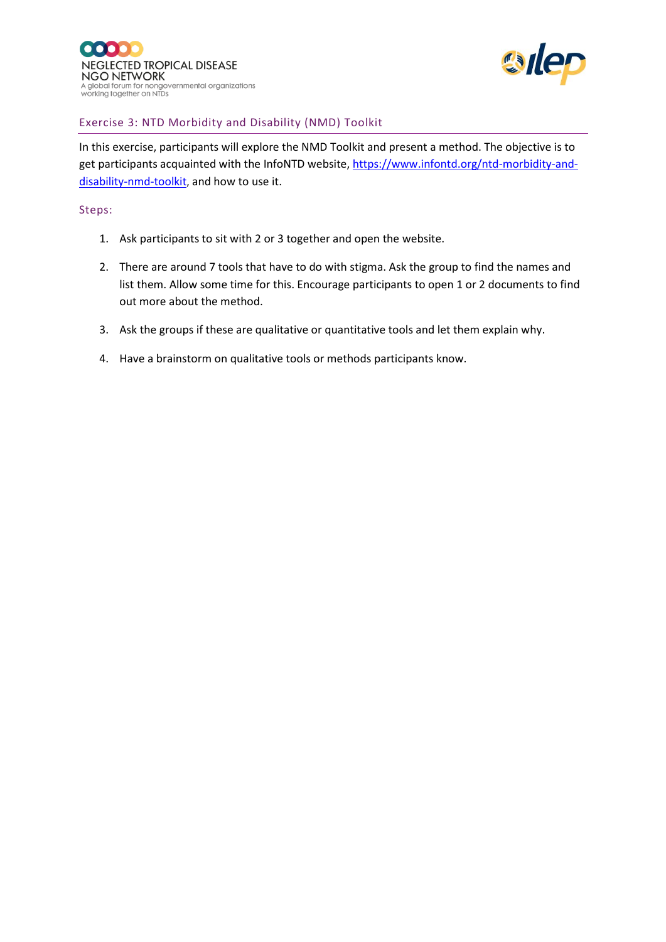



# Exercise 3: NTD Morbidity and Disability (NMD) Toolkit

In this exercise, participants will explore the NMD Toolkit and present a method. The objective is to get participants acquainted with the InfoNTD website, [https://www.infontd.org/ntd-morbidity-and](https://www.infontd.org/ntd-morbidity-and-disability-nmd-toolkit)[disability-nmd-toolkit](https://www.infontd.org/ntd-morbidity-and-disability-nmd-toolkit), and how to use it.

## Steps:

- 1. Ask participants to sit with 2 or 3 together and open the website.
- 2. There are around 7 tools that have to do with stigma. Ask the group to find the names and list them. Allow some time for this. Encourage participants to open 1 or 2 documents to find out more about the method.
- 3. Ask the groups if these are qualitative or quantitative tools and let them explain why.
- 4. Have a brainstorm on qualitative tools or methods participants know.